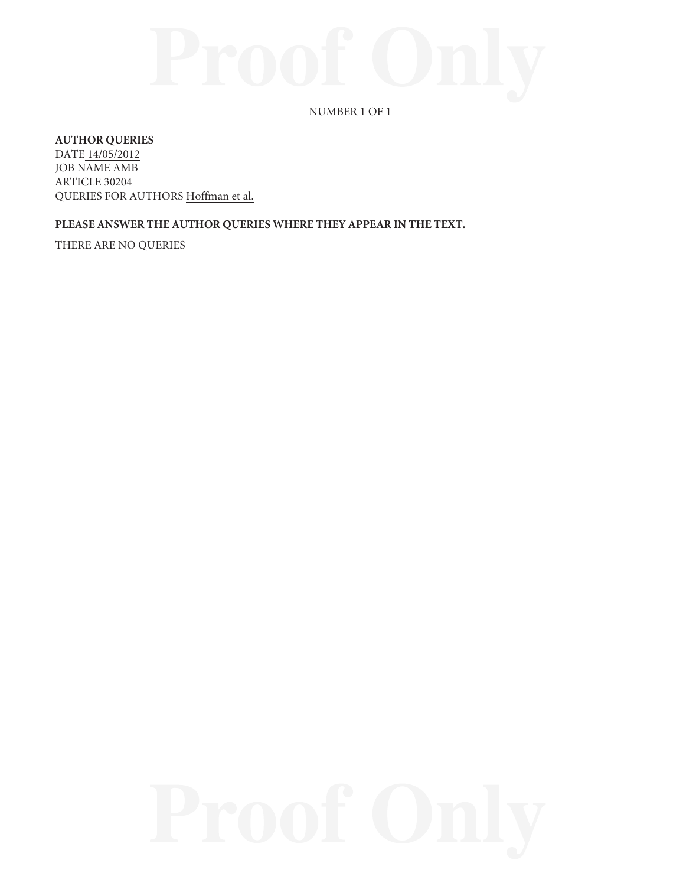# $NUMBER_1OF_1$

### **AUTHOR QUERIES**

DATE 14/05/2012 JOB NAME AMB ARTICLE 30204 QUERIES FOR AUTHORS Hoffman et al.

## **PLEASE ANSWER THE AUTHOR QUERIES WHERE THEY APPEAR IN THE TEXT.**

THERE ARE NO QUERIES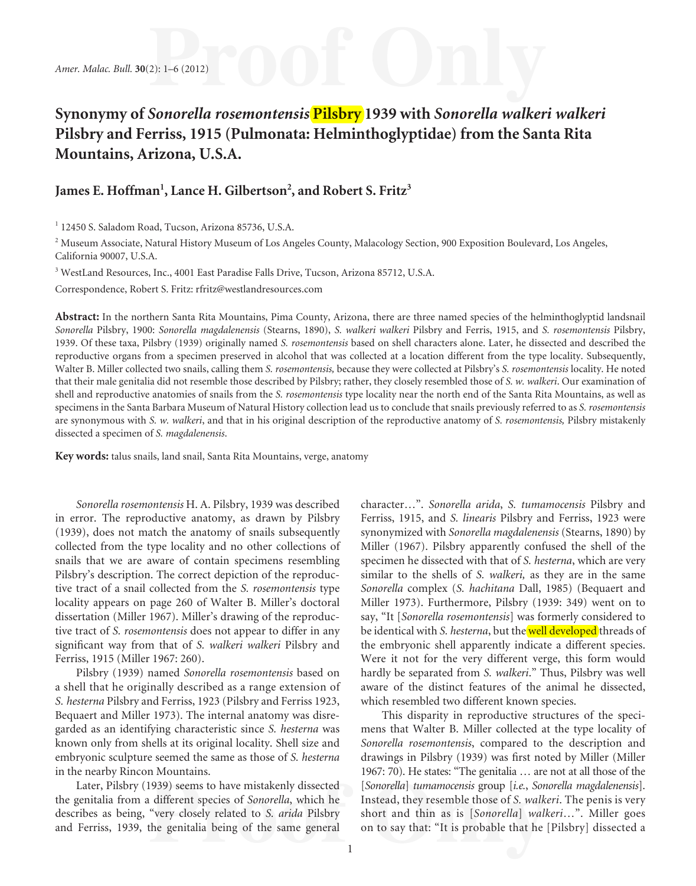# **Synonymy of** *Sonorella rosemontensis* **Pilsbry 1939 with** *Sonorella walkeri walkeri* **Pilsbry and Ferriss, 1915 (Pulmonata: Helminthoglyptidae) from the Santa Rita Mountains, Arizona, U.S.A.**

# James E. Hoffman<sup>1</sup>, Lance H. Gilbertson<sup>2</sup>, and Robert S. Fritz<sup>3</sup>

1 12450 S. Saladom Road, Tucson, Arizona 85736, U.S.A.

<sup>2</sup> Museum Associate, Natural History Museum of Los Angeles County, Malacology Section, 900 Exposition Boulevard, Los Angeles, California 90007, U.S.A.

<sup>3</sup> WestLand Resources, Inc., 4001 East Paradise Falls Drive, Tucson, Arizona 85712, U.S.A.

Correspondence, Robert S. Fritz: rfritz@westlandresources.com

**Abstract:** In the northern Santa Rita Mountains, Pima County, Arizona, there are three named species of the helminthoglyptid landsnail *Sonorella* Pilsbry, 1900: *Sonorella magdalenensis* (Stearns, 1890), *S. walkeri walkeri* Pilsbry and Ferris, 1915, and *S. rosemontensis* Pilsbry, 1939. Of these taxa, Pilsbry (1939) originally named *S. rosemontensis* based on shell characters alone. Later, he dissected and described the reproductive organs from a specimen preserved in alcohol that was collected at a location different from the type locality. Subsequently, Walter B. Miller collected two snails, calling them *S. rosemontensis,* because they were collected at Pilsbry's *S. rosemontensis* locality. He noted that their male genitalia did not resemble those described by Pilsbry; rather, they closely resembled those of *S. w. walkeri*. Our examination of shell and reproductive anatomies of snails from the *S. rosemontensis* type locality near the north end of the Santa Rita Mountains, as well as specimens in the Santa Barbara Museum of Natural History collection lead us to conclude that snails previously referred to as *S. rosemontensis* are synonymous with *S. w. walkeri*, and that in his original description of the reproductive anatomy of *S. rosemontensis,* Pilsbry mistakenly dissected a specimen of *S. magdalenensis*.

**Key words:** talus snails, land snail, Santa Rita Mountains, verge, anatomy

*Sonorella rosemontensis* H. A. Pilsbry, 1939 was described in error. The reproductive anatomy, as drawn by Pilsbry (1939), does not match the anatomy of snails subsequently collected from the type locality and no other collections of snails that we are aware of contain specimens resembling Pilsbry's description. The correct depiction of the reproductive tract of a snail collected from the *S. rosemontensis* type locality appears on page 260 of Walter B. Miller's doctoral dissertation (Miller 1967). Miller's drawing of the reproductive tract of *S. rosemontensis* does not appear to differ in any significant way from that of *S. walkeri walkeri* Pilsbry and Ferriss, 1915 (Miller 1967: 260).

Pilsbry (1939) named *Sonorella rosemontensis* based on a shell that he originally described as a range extension of *S. hesterna* Pilsbry and Ferriss, 1923 (Pilsbry and Ferriss 1923, Bequaert and Miller 1973). The internal anatomy was disregarded as an identifying characteristic since *S. hesterna* was known only from shells at its original locality. Shell size and embryonic sculpture seemed the same as those of *S. hesterna*  in the nearby Rincon Mountains.

Later, Pilsbry (1939) seems to have mistakenly dissected the genitalia from a different species of *Sonorella*, which he describes as being, "very closely related to *S. arida* Pilsbry and Ferriss, 1939, the genitalia being of the same general

character…". *Sonorella arida*, *S. tumamocensis* Pilsbry and Ferriss, 1915, and *S. linearis* Pilsbry and Ferriss, 1923 were synonymized with *Sonorella magdalenensis* (Stearns, 1890) by Miller (1967). Pilsbry apparently confused the shell of the specimen he dissected with that of *S. hesterna*, which are very similar to the shells of *S. walkeri,* as they are in the same *Sonorella* complex (*S. hachitana* Dall, 1985) (Bequaert and Miller 1973). Furthermore, Pilsbry (1939: 349) went on to say, "It [*Sonorella rosemontensis*] was formerly considered to be identical with *S. hesterna*, but the well developed threads of the embryonic shell apparently indicate a different species. Were it not for the very different verge, this form would hardly be separated from *S. walkeri*." Thus, Pilsbry was well aware of the distinct features of the animal he dissected, which resembled two different known species.

This disparity in reproductive structures of the specimens that Walter B. Miller collected at the type locality of *Sonorella rosemontensis*, compared to the description and drawings in Pilsbry (1939) was first noted by Miller (Miller 1967: 70). He states: "The genitalia … are not at all those of the [*Sonorella*] *tumamocensis* group [*i.e.*, *Sonorella magdalenensis*]. Instead, they resemble those of *S. walkeri*. The penis is very short and thin as is [*Sonorella*] *walkeri*…". Miller goes on to say that: "It is probable that he [Pilsbry] dissected a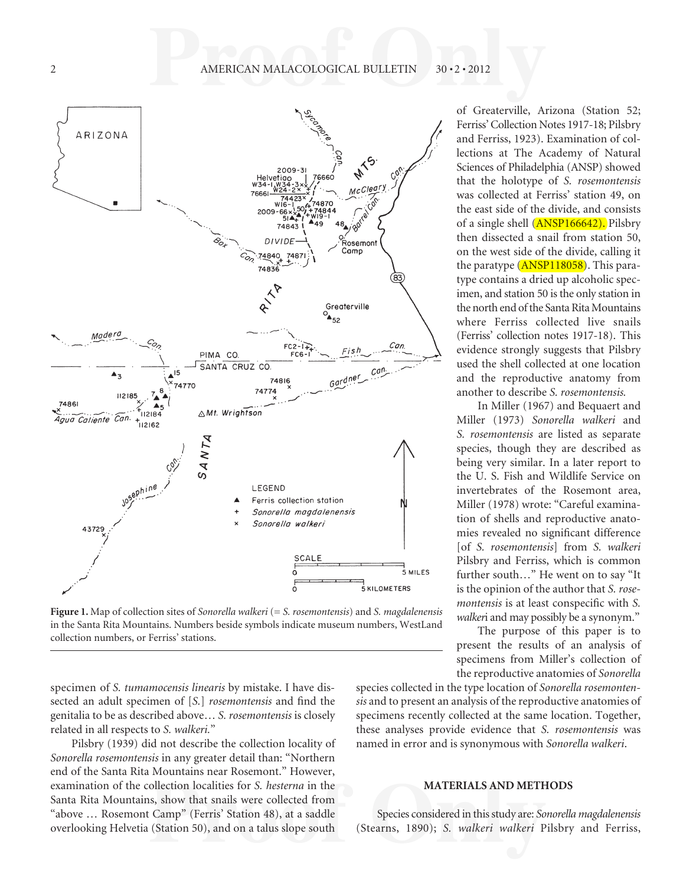

**Figure 1.** Map of collection sites of *Sonorella walkeri* (= *S. rosemontensis*) and *S. magdalenensis* in the Santa Rita Mountains. Numbers beside symbols indicate museum numbers, WestLand collection numbers, or Ferriss' stations.

specimen of *S. tumamocensis linearis* by mistake. I have dissected an adult specimen of [*S.*] *rosemontensis* and find the genitalia to be as described above… *S. rosemontensis* is closely related in all respects to *S. walkeri.*"

Pilsbry (1939) did not describe the collection locality of *Sonorella rosemontensis* in any greater detail than: "Northern end of the Santa Rita Mountains near Rosemont." However, examination of the collection localities for *S. hesterna* in the Santa Rita Mountains, show that snails were collected from "above … Rosemont Camp" (Ferris' Station 48), at a saddle overlooking Helvetia (Station 50), and on a talus slope south

of Greaterville, Arizona (Station 52; Ferriss' Collection Notes 1917-18; Pilsbry and Ferriss, 1923). Examination of collections at The Academy of Natural Sciences of Philadelphia (ANSP) showed that the holotype of *S. rosemontensis* was collected at Ferriss' station 49, on the east side of the divide, and consists of a single shell (ANSP166642). Pilsbry then dissected a snail from station 50, on the west side of the divide, calling it the paratype (ANSP118058). This paratype contains a dried up alcoholic specimen, and station 50 is the only station in the north end of the Santa Rita Mountains where Ferriss collected live snails (Ferriss' collection notes 1917-18). This evidence strongly suggests that Pilsbry used the shell collected at one location and the reproductive anatomy from another to describe *S. rosemontensis.*

In Miller (1967) and Bequaert and Miller (1973) *Sonorella walkeri* and *S. rosemontensis* are listed as separate species, though they are described as being very similar. In a later report to the U. S. Fish and Wildlife Service on invertebrates of the Rosemont area, Miller (1978) wrote: "Careful examination of shells and reproductive anatomies revealed no significant difference [of *S. rosemontensis*] from *S. walkeri* Pilsbry and Ferriss, which is common further south…" He went on to say "It is the opinion of the author that *S. rosemontensis* is at least conspecific with *S*. *walker*i and may possibly be a synonym."

The purpose of this paper is to present the results of an analysis of specimens from Miller's collection of the reproductive anatomies of *Sonorella*

species collected in the type location of *Sonorella rosemontensis* and to present an analysis of the reproductive anatomies of specimens recently collected at the same location. Together, these analyses provide evidence that *S. rosemontensis* was named in error and is synonymous with *Sonorella walkeri*.

#### **MATERIALS AND METHODS**

Species considered in this study are: *Sonorella magdalenensis*  (Stearns, 1890); *S. walkeri walkeri* Pilsbry and Ferriss,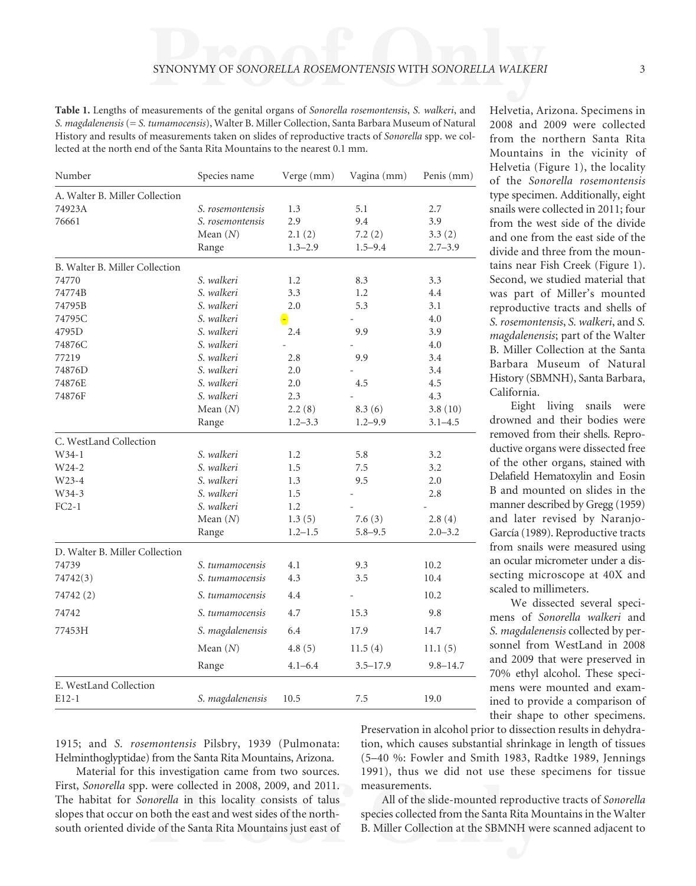**Table 1.** Lengths of measurements of the genital organs of *Sonorella rosemontensis*, *S. walkeri*, and *S. magdalenensis* (= *S. tumamocensis*), Walter B. Miller Collection, Santa Barbara Museum of Natural History and results of measurements taken on slides of reproductive tracts of *Sonorella* spp. we collected at the north end of the Santa Rita Mountains to the nearest 0.1 mm.

| Number                         | Species name     | Verge (mm)  | Vagina (mm)  | Penis (mm)   |
|--------------------------------|------------------|-------------|--------------|--------------|
| A. Walter B. Miller Collection |                  |             |              |              |
| 74923A                         | S. rosemontensis | 1.3         | 5.1          | 2.7          |
| 76661                          | S. rosemontensis | 2.9         | 9.4          | 3.9          |
|                                | Mean $(N)$       | 2.1(2)      | 7.2(2)       | 3.3(2)       |
|                                | Range            | $1.3 - 2.9$ | $1.5 - 9.4$  | $2.7 - 3.9$  |
| B. Walter B. Miller Collection |                  |             |              |              |
| 74770                          | S. walkeri       | 1.2         | 8.3          | 3.3          |
| 74774B                         | S. walkeri       | 3.3         | 1.2          | 4.4          |
| 74795B                         | S. walkeri       | 2.0         | 5.3          | 3.1          |
| 74795C                         | S. walkeri       | $\bullet$   |              | 4.0          |
| 4795D                          | S. walkeri       | 2.4         | 9.9          | 3.9          |
| 74876C                         | S. walkeri       |             |              | 4.0          |
| 77219                          | S. walkeri       | 2.8         | 9.9          | 3.4          |
| 74876D                         | S. walkeri       | 2.0         |              | 3.4          |
| 74876E                         | S. walkeri       | 2.0         | 4.5          | 4.5          |
| 74876F                         | S. walkeri       | 2.3         |              | 4.3          |
|                                | Mean $(N)$       | 2.2(8)      | 8.3(6)       | 3.8(10)      |
|                                | Range            | $1.2 - 3.3$ | $1.2 - 9.9$  | $3.1 - 4.5$  |
| C. WestLand Collection         |                  |             |              |              |
| $W34-1$                        | S. walkeri       | 1.2         | 5.8          | 3.2          |
| W24-2                          | S. walkeri       | 1.5         | 7.5          | 3.2          |
| W23-4                          | S. walkeri       | 1.3         | 9.5          | 2.0          |
| W34-3                          | S. walkeri       | 1.5         |              | 2.8          |
| $FC2-1$                        | S. walkeri       | 1.2         |              |              |
|                                | Mean $(N)$       | 1.3(5)      | 7.6(3)       | 2.8(4)       |
|                                | Range            | $1.2 - 1.5$ | $5.8 - 9.5$  | $2.0 - 3.2$  |
| D. Walter B. Miller Collection |                  |             |              |              |
| 74739                          | S. tumamocensis  | 4.1         | 9.3          | 10.2         |
| 74742(3)                       | S. tumamocensis  | 4.3         | 3.5          | 10.4         |
| 74742 (2)                      | S. tumamocensis  | 4.4         |              | 10.2         |
| 74742                          | S. tumamocensis  | 4.7         | 15.3         | 9.8          |
| 77453H                         | S. magdalenensis | 6.4         | 17.9         | 14.7         |
|                                | Mean $(N)$       | 4.8(5)      | 11.5(4)      | 11.1(5)      |
|                                | Range            | $4.1 - 6.4$ | $3.5 - 17.9$ | $9.8 - 14.7$ |
| E. WestLand Collection         |                  |             |              |              |
| $E12-1$                        | S. magdalenensis | 10.5        | 7.5          | 19.0         |

Helvetia, Arizona. Specimens in 2008 and 2009 were collected from the northern Santa Rita Mountains in the vicinity of Helvetia (Figure 1), the locality of the *Sonorella rosemontensis* type specimen. Additionally, eight snails were collected in 2011; four from the west side of the divide and one from the east side of the divide and three from the mountains near Fish Creek (Figure 1). Second, we studied material that was part of Miller's mounted reproductive tracts and shells of *S. rosemontensis*, *S. walkeri*, and *S. magdalenensis*; part of the Walter B. Miller Collection at the Santa Barbara Museum of Natural History (SBMNH), Santa Barbara, California.

Eight living snails were drowned and their bodies were removed from their shells. Reproductive organs were dissected free of the other organs, stained with Delafield Hematoxylin and Eosin B and mounted on slides in the manner described by Gregg (1959) and later revised by Naranjo-García (1989). Reproductive tracts from snails were measured using an ocular micrometer under a dissecting microscope at 40X and scaled to millimeters.

We dissected several specimens of *Sonorella walkeri* and *S. magdalenensis* collected by personnel from WestLand in 2008 and 2009 that were preserved in 70% ethyl alcohol. These specimens were mounted and examined to provide a comparison of their shape to other specimens.

1915; and *S. rosemontensis* Pilsbry, 1939 (Pulmonata: Helminthoglyptidae) from the Santa Rita Mountains, Arizona.

Material for this investigation came from two sources. First, *Sonorella* spp. were collected in 2008, 2009, and 2011. The habitat for *Sonorella* in this locality consists of talus slopes that occur on both the east and west sides of the northsouth oriented divide of the Santa Rita Mountains just east of Preservation in alcohol prior to dissection results in dehydration, which causes substantial shrinkage in length of tissues (5–40 %: Fowler and Smith 1983, Radtke 1989, Jennings 1991), thus we did not use these specimens for tissue measurements.

All of the slide-mounted reproductive tracts of *Sonorella* species collected from the Santa Rita Mountains in the Walter B. Miller Collection at the SBMNH were scanned adjacent to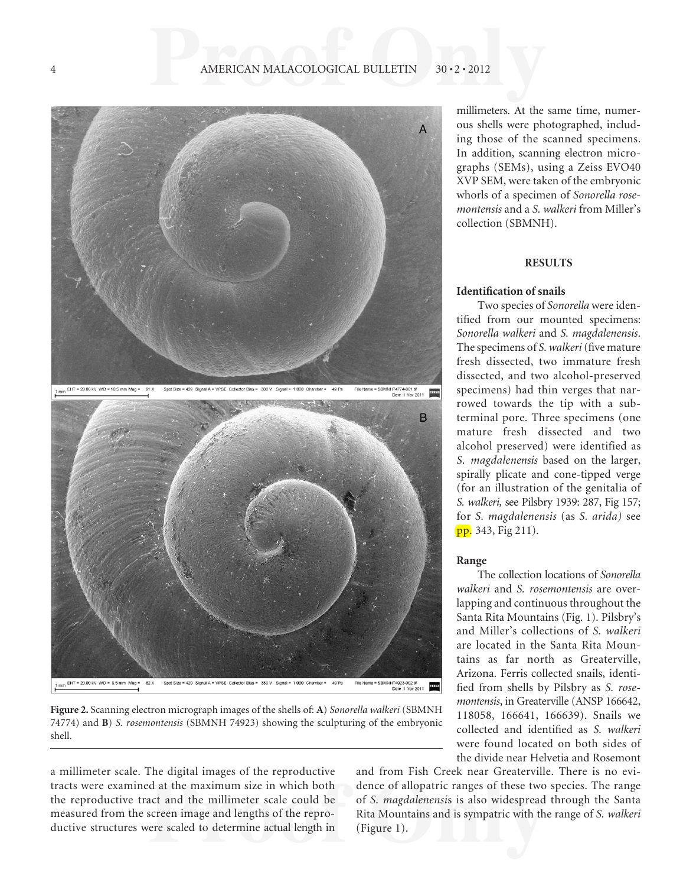### 4 AMERICAN MALACOLOGICAL BULLETIN 30 · 2 · 2012





**Figure 2.** Scanning electron micrograph images of the shells of: **A**) *Sonorella walkeri* (SBMNH 74774) and **B**) *S. rosemontensis* (SBMNH 74923) showing the sculpturing of the embryonic shell.

a millimeter scale. The digital images of the reproductive tracts were examined at the maximum size in which both the reproductive tract and the millimeter scale could be measured from the screen image and lengths of the reproductive structures were scaled to determine actual length in

millimeters. At the same time, numerous shells were photographed, including those of the scanned specimens. In addition, scanning electron micrographs (SEMs), using a Zeiss EVO40 XVP SEM, were taken of the embryonic whorls of a specimen of *Sonorella rosemontensis* and a *S. walkeri* from Miller's collection (SBMNH).

### **RESULTS**

### **Identification of snails**

Two species of *Sonorella* were identified from our mounted specimens: *Sonorella walkeri* and *S. magdalenensis*. The specimens of *S. walkeri* (five mature fresh dissected, two immature fresh dissected, and two alcohol-preserved specimens) had thin verges that narrowed towards the tip with a subterminal pore. Three specimens (one mature fresh dissected and two alcohol preserved) were identified as *S. magdalenensis* based on the larger, spirally plicate and cone-tipped verge (for an illustration of the genitalia of *S. walkeri,* see Pilsbry 1939: 287, Fig 157; for *S. magdalenensis* (as *S. arida)* see pp. 343, Fig 211).

#### **Range**

The collection locations of *Sonorella walkeri* and *S. rosemontensis* are overlapping and continuous throughout the Santa Rita Mountains (Fig. 1). Pilsbry's and Miller's collections of *S. walkeri* are located in the Santa Rita Mountains as far north as Greaterville, Arizona. Ferris collected snails, identified from shells by Pilsbry as *S. rosemontensis*, in Greaterville (ANSP 166642, 118058, 166641, 166639). Snails we collected and identified as *S. walkeri* were found located on both sides of the divide near Helvetia and Rosemont

and from Fish Creek near Greaterville. There is no evidence of allopatric ranges of these two species. The range of *S. magdalenensi*s is also widespread through the Santa Rita Mountains and is sympatric with the range of *S. walkeri* (Figure 1).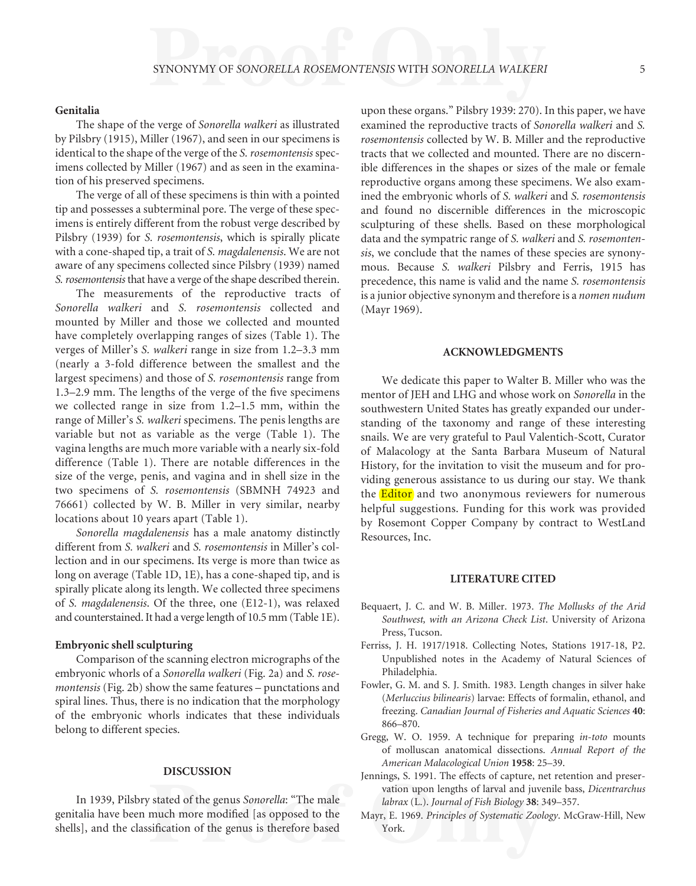#### **Genitalia**

The shape of the verge of *Sonorella walkeri* as illustrated by Pilsbry (1915), Miller (1967), and seen in our specimens is identical to the shape of the verge of the *S. rosemontensis* specimens collected by Miller (1967) and as seen in the examination of his preserved specimens.

The verge of all of these specimens is thin with a pointed tip and possesses a subterminal pore. The verge of these specimens is entirely different from the robust verge described by Pilsbry (1939) for *S. rosemontensis*, which is spirally plicate with a cone-shaped tip, a trait of *S. magdalenensis*. We are not aware of any specimens collected since Pilsbry (1939) named *S. rosemontensis* that have a verge of the shape described therein.

The measurements of the reproductive tracts of *Sonorella walkeri* and *S. rosemontensis* collected and mounted by Miller and those we collected and mounted have completely overlapping ranges of sizes (Table 1). The verges of Miller's *S. walkeri* range in size from 1.2–3.3 mm (nearly a 3-fold difference between the smallest and the largest specimens) and those of *S. rosemontensis* range from  $1.3-2.9$  mm. The lengths of the verge of the five specimens we collected range in size from 1.2–1.5 mm, within the range of Miller's *S. walkeri* specimens. The penis lengths are variable but not as variable as the verge (Table 1). The vagina lengths are much more variable with a nearly six-fold difference (Table 1). There are notable differences in the size of the verge, penis, and vagina and in shell size in the two specimens of *S. rosemontensis* (SBMNH 74923 and 76661) collected by W. B. Miller in very similar, nearby locations about 10 years apart (Table 1).

*Sonorella magdalenensis* has a male anatomy distinctly different from *S. walkeri* and *S. rosemontensis* in Miller's collection and in our specimens. Its verge is more than twice as long on average (Table 1D, 1E), has a cone-shaped tip, and is spirally plicate along its length. We collected three specimens of *S. magdalenensis*. Of the three, one (E12-1), was relaxed and counterstained. It had a verge length of 10.5 mm (Table 1E).

#### **Embryonic shell sculpturing**

Comparison of the scanning electron micrographs of the embryonic whorls of a *Sonorella walkeri* (Fig. 2a) and *S. rosemontensis* (Fig. 2b) show the same features – punctations and spiral lines. Thus, there is no indication that the morphology of the embryonic whorls indicates that these individuals belong to different species.

#### **DISCUSSION**

In 1939, Pilsbry stated of the genus *Sonorella*: "The male genitalia have been much more modified [as opposed to the shells], and the classification of the genus is therefore based upon these organs." Pilsbry 1939: 270). In this paper, we have examined the reproductive tracts of *Sonorella walkeri* and *S. rosemontensis* collected by W. B. Miller and the reproductive tracts that we collected and mounted. There are no discernible differences in the shapes or sizes of the male or female reproductive organs among these specimens. We also examined the embryonic whorls of *S. walkeri* and *S. rosemontensis* and found no discernible differences in the microscopic sculpturing of these shells. Based on these morphological data and the sympatric range of *S. walkeri* and *S. rosemontensis*, we conclude that the names of these species are synonymous. Because *S. walkeri* Pilsbry and Ferris, 1915 has precedence, this name is valid and the name *S. rosemontensis* is a junior objective synonym and therefore is a *nomen nudum* (Mayr 1969).

#### **ACKNOWLEDGMENTS**

We dedicate this paper to Walter B. Miller who was the mentor of JEH and LHG and whose work on *Sonorella* in the southwestern United States has greatly expanded our understanding of the taxonomy and range of these interesting snails. We are very grateful to Paul Valentich-Scott, Curator of Malacology at the Santa Barbara Museum of Natural History, for the invitation to visit the museum and for providing generous assistance to us during our stay. We thank the **Editor** and two anonymous reviewers for numerous helpful suggestions. Funding for this work was provided by Rosemont Copper Company by contract to WestLand Resources, Inc.

#### **LITERATURE CITED**

- Bequaert, J. C. and W. B. Miller. 1973. *The Mollusks of the Arid Southwest, with an Arizona Check List*. University of Arizona Press, Tucson.
- Ferriss, J. H. 1917/1918. Collecting Notes, Stations 1917-18, P2. Unpublished notes in the Academy of Natural Sciences of Philadelphia.
- Fowler, G. M. and S. J. Smith. 1983. Length changes in silver hake (*Merluccius bilinearis*) larvae: Effects of formalin, ethanol, and freezing. *Canadian Journal of Fisheries and Aquatic Sciences* **40**: 866–870.
- Gregg, W. O. 1959. A technique for preparing *in-toto* mounts of molluscan anatomical dissections. *Annual Report of the American Malacological Union* **1958**: 25–39.
- Jennings, S. 1991. The effects of capture, net retention and preservation upon lengths of larval and juvenile bass, *Dicentrarchus labrax* (L.). *Journal of Fish Biology* **38**: 349–357.
- Mayr, E. 1969. *Principles of Systematic Zoology*. McGraw-Hill, New York.